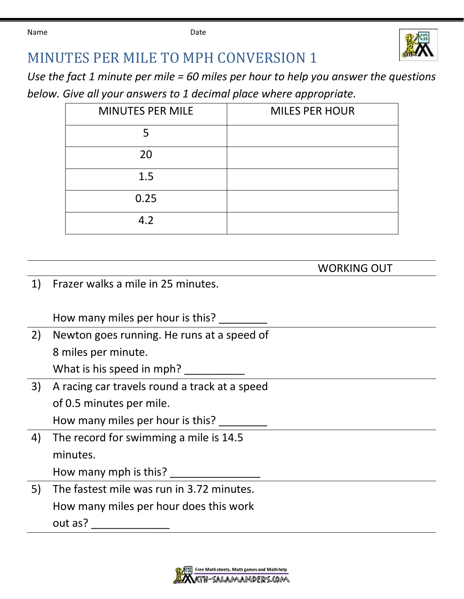Name **Date Date Date** 



## MINUTES PER MILE TO MPH CONVERSION 1

*Use the fact 1 minute per mile = 60 miles per hour to help you answer the questions below. Give all your answers to 1 decimal place where appropriate.*

| <b>MINUTES PER MILE</b> | <b>MILES PER HOUR</b> |
|-------------------------|-----------------------|
|                         |                       |
| 20                      |                       |
| 1.5                     |                       |
| 0.25                    |                       |
| 4.2                     |                       |

WORKING OUT

1) Frazer walks a mile in 25 minutes.

How many miles per hour is this?

2) Newton goes running. He runs at a speed of 8 miles per minute.

What is his speed in mph?

3) A racing car travels round a track at a speed of 0.5 minutes per mile.

How many miles per hour is this?

4) The record for swimming a mile is 14.5 minutes.

How many mph is this?

5) The fastest mile was run in 3.72 minutes. How many miles per hour does this work out as? \_\_\_\_\_\_\_\_\_\_\_\_\_